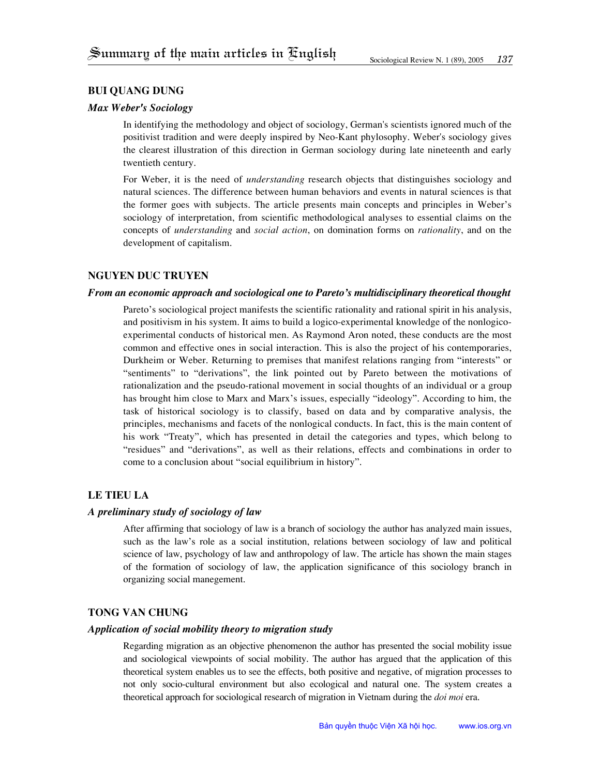# **bui quang dung**

# *Max Weber's Sociology*

In identifying the methodology and object of sociology, German's scientists ignored much of the positivist tradition and were deeply inspired by Neo-Kant phylosophy. Weber's sociology gives the clearest illustration of this direction in German sociology during late nineteenth and early twentieth century.

For Weber, it is the need of *understanding* research objects that distinguishes sociology and natural sciences. The difference between human behaviors and events in natural sciences is that the former goes with subjects. The article presents main concepts and principles in Weber's sociology of interpretation, from scientific methodological analyses to essential claims on the concepts of *understanding* and *social action*, on domination forms on *rationality*, and on the development of capitalism.

# **nguyen duc truyen**

# *From an economic approach and sociological one to Pareto's multidisciplinary theoretical thought*

Pareto's sociological project manifests the scientific rationality and rational spirit in his analysis, and positivism in his system. It aims to build a logico-experimental knowledge of the nonlogicoexperimental conducts of historical men. As Raymond Aron noted, these conducts are the most common and effective ones in social interaction. This is also the project of his contemporaries, Durkheim or Weber. Returning to premises that manifest relations ranging from "interests" or "sentiments" to "derivations", the link pointed out by Pareto between the motivations of rationalization and the pseudo-rational movement in social thoughts of an individual or a group has brought him close to Marx and Marx's issues, especially "ideology". According to him, the task of historical sociology is to classify, based on data and by comparative analysis, the principles, mechanisms and facets of the nonlogical conducts. In fact, this is the main content of his work "Treaty", which has presented in detail the categories and types, which belong to "residues" and "derivations", as well as their relations, effects and combinations in order to come to a conclusion about "social equilibrium in history".

# **le tieu la**

# *A preliminary study of sociology of law*

After affirming that sociology of law is a branch of sociology the author has analyzed main issues, such as the law's role as a social institution, relations between sociology of law and political science of law, psychology of law and anthropology of law. The article has shown the main stages of the formation of sociology of law, the application significance of this sociology branch in organizing social manegement.

# **tong van chung**

### *Application of social mobility theory to migration study*

Regarding migration as an objective phenomenon the author has presented the social mobility issue and sociological viewpoints of social mobility. The author has argued that the application of this theoretical system enables us to see the effects, both positive and negative, of migration processes to not only socio-cultural environment but also ecological and natural one. The system creates a theoretical approach for sociological research of migration in Vietnam during the *doi moi* era.